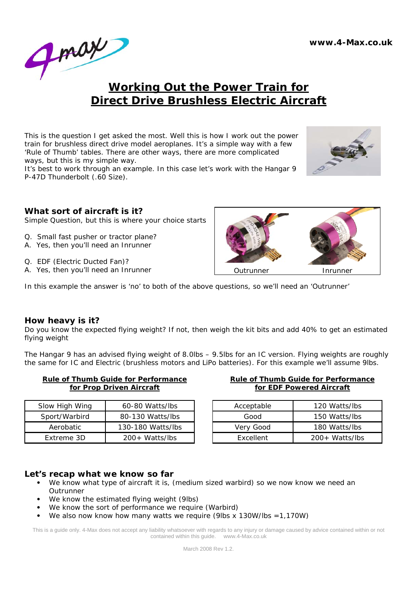

# **Working Out the Power Train for Direct Drive Brushless Electric Aircraft**

This is the question I get asked the most. Well this is how I work out the power train for brushless direct drive model aeroplanes. It's a simple way with a few 'Rule of Thumb' tables. There are other ways, there are more complicated ways, but this is my simple way.

It's best to work through an example. In this case let's work with the Hangar 9 P-47D Thunderbolt (.60 Size).



### **What sort of aircraft is it?**

Simple Question, but this is where your choice starts

- Q. Small fast pusher or tractor plane?
- A. Yes, then you'll need an Inrunner
- Q. EDF (Electric Ducted Fan)?
- A. Yes, then you'll need an Inrunner



In this example the answer is 'no' to both of the above questions, so we'll need an 'Outrunner'

### **How heavy is it?**

Do you know the expected flying weight? If not, then weigh the kit bits and add 40% to get an estimated flying weight

The Hangar 9 has an advised flying weight of 8.0lbs – 9.5lbs for an IC version. Flying weights are roughly the same for IC and Electric (brushless motors and LiPo batteries). For this example we'll assume 9lbs.

| <b>Rule of Thumb Guide for Performance</b> |  |
|--------------------------------------------|--|
| for Prop Driven Aircraft                   |  |

| Slow High Wing | 60-80 Watts/lbs   |
|----------------|-------------------|
| Sport/Warbird  | 80-130 Watts/lbs  |
| Aerobatic      | 130-180 Watts/lbs |
| Extreme 3D     | $200+Watts/lbs$   |

| <b>Rule of Thumb Guide for Performance</b> |
|--------------------------------------------|
| for EDF Powered Aircraft                   |

| Acceptable       | 120 Watts/lbs   |
|------------------|-----------------|
| Good             | 150 Watts/lbs   |
| Very Good        | 180 Watts/lbs   |
| <b>Fxcellent</b> | $200+Watts/lbs$ |

### **Let's recap what we know so far**

- We know what type of aircraft it is, (medium sized warbird) so we now know we need an Outrunner
- We know the estimated flying weight (9lbs)
- We know the sort of performance we require (Warbird)
- We also now know how many watts we require (9lbs x 130W/lbs =  $1,170W$ )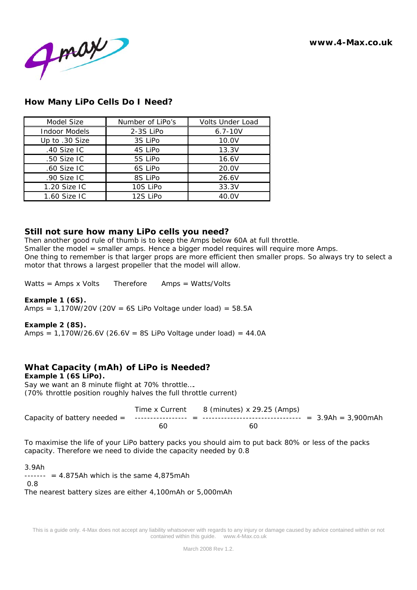**www.4-Max.co.uk** 



# **How Many LiPo Cells Do I Need?**

| Model Size           | Number of LiPo's | <b>Volts Under Load</b> |
|----------------------|------------------|-------------------------|
| <b>Indoor Models</b> | 2-3S LiPo        | $6.7 - 10V$             |
| Up to .30 Size       | 3S LiPo          | 10.0V                   |
| .40 Size IC          | 4S LiPo          | 13.3V                   |
| .50 Size IC          | 5S LiPo          | 16.6V                   |
| .60 Size IC          | 6S LiPo          | 20.0V                   |
| .90 Size IC          | 8S LiPo          | 26.6V                   |
| 1.20 Size IC         | 10S LiPo         | 33.3V                   |
| 1.60 Size IC         | 12S LiPo         | 40.0V                   |

### **Still not sure how many LiPo cells you need?**

Then another good rule of thumb is to keep the Amps below 60A at full throttle. Smaller the model = smaller amps. Hence a bigger model requires will require more Amps. One thing to remember is that larger props are more efficient then smaller props. So always try to select a motor that throws a largest propeller that the model will allow.

Watts = Amps x Volts Therefore Amps = Watts/Volts

### *Example 1 (6S).*

Amps =  $1,170W/20V$  (20V = 6S LiPo Voltage under load) = 58.5A

#### *Example 2 (8S).*

Amps =  $1,170W/26.6V$  (26.6V = 8S LiPo Voltage under load) = 44.0A

# **What Capacity (mAh) of LiPo is Needed?**

*Example 1 (6S LiPo).*  Say we want an 8 minute flight at 70% throttle…. (70% throttle position roughly halves the full throttle current)

|    | Time x Current 8 (minutes) x 29.25 (Amps) |  |
|----|-------------------------------------------|--|
|    |                                           |  |
| 6C |                                           |  |

To maximise the life of your LiPo battery packs you should aim to put back 80% or less of the packs capacity. Therefore we need to divide the capacity needed by 0.8

#### 3.9Ah

 $---- = 4.875$ Ah which is the same 4,875 mAh

0.8

The nearest battery sizes are either 4,100mAh or 5,000mAh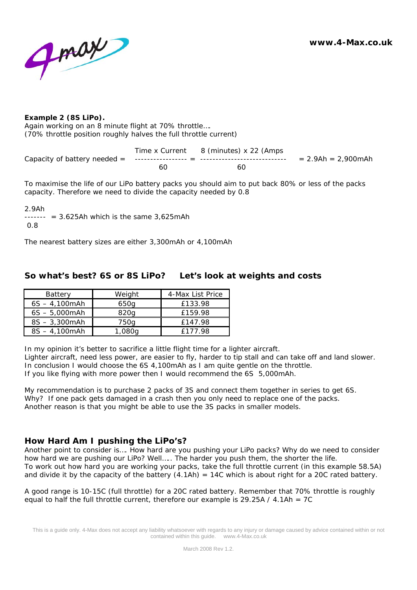**www.4-Max.co.uk** 



#### *Example 2 (8S LiPo).*

Again working on an 8 minute flight at 70% throttle…. (70% throttle position roughly halves the full throttle current)

Time x Current 8 (minutes) x 22 (Amps Capacity of battery needed = ----------------- = ---------------------------- = 2.9Ah = 2,900mAh 60 60

To maximise the life of our LiPo battery packs you should aim to put back 80% or less of the packs capacity. Therefore we need to divide the capacity needed by 0.8

#### 2.9Ah

 $---- = 3.625$ Ah which is the same 3,625mAh

0.8

The nearest battery sizes are either 3,300mAh or 4,100mAh

## **So what's best? 6S or 8S LiPo? Let's look at weights and costs**

| <b>Battery</b>   | Weight | 4-Max List Price |
|------------------|--------|------------------|
| $6S - 4.100$ mAh | 650g   | £133.98          |
| $6S - 5,000$ mAh | 820a   | £159.98          |
| $8S - 3,300$ mAh | 750g   | £147.98          |
| $8S - 4,100$ mAh | 1,080a | £177.98          |

In my opinion it's better to sacrifice a little flight time for a lighter aircraft. Lighter aircraft, need less power, are easier to fly, harder to tip stall and can take off and land slower. In conclusion I would choose the 6S 4,100mAh as I am quite gentle on the throttle. If you like flying with more power then I would recommend the 6S 5,000mAh.

My recommendation is to purchase 2 packs of 3S and connect them together in series to get 6S. Why? If one pack gets damaged in a crash then you only need to replace one of the packs. Another reason is that you might be able to use the 3S packs in smaller models.

### **How Hard Am I pushing the LiPo's?**

Another point to consider is…. How hard are you pushing your LiPo packs? Why do we need to consider how hard we are pushing our LiPo? Well….. The harder you push them, the shorter the life. To work out how hard you are working your packs, take the full throttle current (in this example 58.5A) and divide it by the capacity of the battery  $(4.1 \text{Ah}) = 14 \text{C}$  which is about right for a 20C rated battery.

A good range is 10-15C (full throttle) for a 20C rated battery. Remember that 70% throttle is roughly equal to half the full throttle current, therefore our example is 29.25A /  $4.1$ Ah = 7C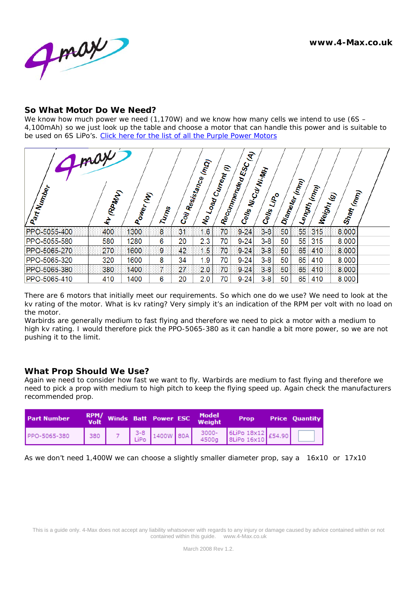

### **So What Motor Do We Need?**

We know how much power we need (1,170W) and we know how many cells we intend to use (6S – 4,100mAh) so we just look up the table and choose a motor that can handle this power and is suitable to be used on 6S LiPo's. Click here for the list of all the Purple Power Motors

| gray<br>Part Number | (RPM/V)<br>È | Power (M) | Turns               | $c_{\partial\vec{r}}$ | (mo)<br>Resistance<br>Load.<br>$\mathbf{r}$ | Current         | $\mathcal{F}$<br><b>Recommended ESC!</b><br>Cells | <b>Ni-Cal Ni-MH</b><br>$\mathcal{L}^{\circ}$<br>Cells | Diameter | (mm) | Length <sub>(mm)</sub> | Shaft (m <sub>m)</sub><br>Weight <sub>(9)</sub> |  |
|---------------------|--------------|-----------|---------------------|-----------------------|---------------------------------------------|-----------------|---------------------------------------------------|-------------------------------------------------------|----------|------|------------------------|-------------------------------------------------|--|
| PPO-5055-400        | 400          | 1300      | 8                   | 31                    | 1.6                                         | 70 <sup>°</sup> | $9 - 24$                                          | $3-8$                                                 | 50       | 55   | 315                    | 8,000                                           |  |
| PPO-5055-580        | 580          | 1280      | 6                   | 20                    | 2.3                                         | 70              | $9 - 24$                                          | $3-8$                                                 | 50       | 55   | 315                    | 8.000                                           |  |
| PPO-5065-270        | 270          | 1600      | 9.                  | 42                    | 1.5                                         | 70.             | 9.24                                              | $3-8$                                                 | 50       | 65   | 410                    | 8.000                                           |  |
| PPO-5065-320        | 320          | 1600      | 8                   | 34                    | 1.9                                         | 70              | $9 - 24$                                          | $3-8$                                                 | 50       | 65   | 410                    | 8.000                                           |  |
| PPO-5065-380        | 380          | 1400      | $\overline{\prime}$ | 27                    | 2.0                                         | 70 <sup>°</sup> | $9 - 24$                                          | $3 - 8$                                               | 50       | 65   | 410                    | 8,000                                           |  |
| PPO-5065-410        | 410          | 1400      | 6                   | 20                    | 2.0                                         | 70              | $9 - 24$                                          | $3-8$                                                 | 50       | 65   | 410                    | 8.000                                           |  |

There are 6 motors that initially meet our requirements. So which one do we use? We need to look at the kv rating of the motor. What is kv rating? Very simply it's an indication of the RPM per volt with no load on the motor.

Warbirds are generally medium to fast flying and therefore we need to pick a motor with a medium to high kv rating. I would therefore pick the PPO-5065-380 as it can handle a bit more power, so we are not pushing it to the limit.

### **What Prop Should We Use?**

Again we need to consider how fast we want to fly. Warbirds are medium to fast flying and therefore we need to pick a prop with medium to high pitch to keep the flying speed up. Again check the manufacturers recommended prop.

| <b>Part Number</b> |  |  | RPM/ Winds Batt Power ESC Model | <b>Prop</b>                                  | <b>Price Quantity</b> |
|--------------------|--|--|---------------------------------|----------------------------------------------|-----------------------|
| PPO-5065-380       |  |  |                                 | 380 7 3-8 1400W 80A 3000- 6LiPo 18x12 £54.90 |                       |

As we don't need 1,400W we can choose a slightly smaller diameter prop, say a 16x10 or 17x10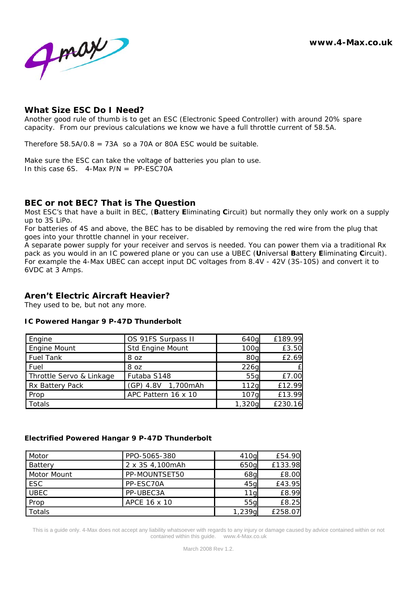

### **What Size ESC Do I Need?**

Another good rule of thumb is to get an ESC (Electronic Speed Controller) with around 20% spare capacity. From our previous calculations we know we have a full throttle current of 58.5A.

Therefore 58.5A/0.8 = 73A so a 70A or 80A FSC would be suitable.

Make sure the ESC can take the voltage of batteries you plan to use. In this case  $6S$ . 4-Max  $P/N = PP$ -ESC70A

### **BEC or not BEC? That is The Question**

Most ESC's that have a built in BEC, (**B**attery **E**liminating **C**ircuit) but normally they only work on a supply up to 3S LiPo.

For batteries of 4S and above, the BEC has to be disabled by removing the red wire from the plug that goes into your throttle channel in your receiver.

A separate power supply for your receiver and servos is needed. You can power them via a traditional Rx pack as you would in an IC powered plane or you can use a UBEC (**U**niversal **B**attery **E**liminating **C**ircuit). For example the 4-Max UBEC can accept input DC voltages from 8.4V - 42V (3S-10S) and convert it to 6VDC at 3 Amps.

### **Aren't Electric Aircraft Heavier?**

They used to be, but not any more.

#### *IC Powered Hangar 9 P-47D Thunderbolt*

| Engine                   | OS 91FS Surpass II  | 640q             | £189.99 |
|--------------------------|---------------------|------------------|---------|
| Engine Mount             | Std Engine Mount    | 100 <sub>q</sub> | £3.50   |
| <b>Fuel Tank</b>         | 8 oz                | 80g              | £2.69   |
| Fuel                     | 8 oz                | 226g             | £       |
| Throttle Servo & Linkage | Futaba S148         | 55g              | £7.00   |
| Rx Battery Pack          | (GP) 4.8V 1,700mAh  | 112g             | £12.99  |
| Prop                     | APC Pattern 16 x 10 | 107 <sub>q</sub> | £13.99  |
| Totals                   |                     | 1,320q           | £230.16 |

#### *Electrified Powered Hangar 9 P-47D Thunderbolt*

| Motor       | PPO-5065-380    | 410g            | £54.90  |
|-------------|-----------------|-----------------|---------|
| Battery     | 2 x 3S 4,100mAh | 650g            | £133.98 |
| Motor Mount | PP-MOUNTSET50   | 68 <sub>g</sub> | £8.00   |
| <b>ESC</b>  | PP-ESC70A       | 45g             | £43.95  |
| <b>UBEC</b> | PP-UBEC3A       | 11 <sub>g</sub> | £8.99   |
| Prop        | APCE 16 x 10    | 55 <sub>q</sub> | £8.25   |
| Totals      |                 | 1,239g          | £258.07 |